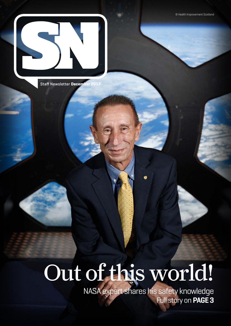© Health Improvement Scotland



Staff Newsletter **December 2017**

# Out of this world!

NASA expert shares his safety knowledge Full story on **PAGE 3**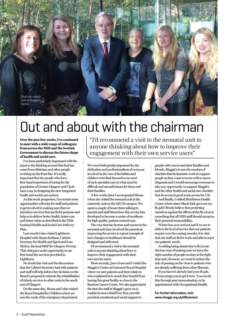

## Out and about with the chairman

**Over the past few weeks, I've continued to meet with a wide range of colleagues from across the NHS and the Scottish Government to discuss the future shape of health and social care.** 

I've been particularly impressed with the input to the thinking around this that has come from clinicians and other people working on the front line. It's really important that the people who have first-hand experience of caring for the population of Greater Glasgow and Clyde have a say in designing the new integrated health and social care system.

As this work progresses, I'm certain more opportunities will arise for staff and patients to get involved in making sure that we introduce services that are fit for purpose and help us to deliver better health, better care and better value as described in the NHS Scotland Health and Social Care Delivery Plan.

Last month I also visited Lightburn Hospital with Shona Robison, Cabinet Secretary for Health and Sport and Ivan McKee, the local MSP for Glasgow Provan. This visit gave us the opportunity to see first-hand the services provided in Lightburn.

No doubt this visit and the discussions that the Cabinet Secretary had with patients and staff will help inform her decision on the Board's proposal to relocate the rehabilitation of elderly services to other units in the north east of Glasgow.

On the same day, Shona and I also visited the Royal Hospital for Children where we saw the work of the emergency department.

"I'd recommend a visit to the neonatal unit to anyone thinking about how to improve their engagement with their own service users"

We were both greatly impressed by the dedication and professionalism of everyone involved in the care of the babies and children who find themselves in need of such specialist care at what must be difficult and stressful times for them and their families.

A few weeks later I accompanied Shona when she visited the neonatal unit at the maternity unit on the QEUH campus. We spent a couple of hours there talking to parents and staff about how this service has developed to become a centre of excellence for high quality, patient-centred care.

The way that the doctors and nurses in the neonatal unit have involved the parents in improving the service is a great example of how changes to healthcare should be designed and delivered.

I'd recommend a visit to the neonatal unit to anyone thinking about how to improve their engagement with their own service users.

More recently, Jane Grant and I visited the Maggie's Centre at Gartnavel Royal Hospital where we met patients and their relatives who explained how much they benefit from having this great facility so close to the Beatson Cancer Centre. We also appreciated the time the staff at Maggie's gave us to explain in more detail how they provide practical, emotional and social support to

people with cancer and their families and friends. Maggie's is one of a number of charities that do fantastic work to support people as they come to terms with a cancer diagnosis and I would encourage everyone to take any opportunity to support Maggie's and the other health and social care charities that do so much good work across the UK.

And finally, I visited Shettleston Health Centre where sister Marie Kirk gave me my flu jab! I firmly believe that protecting ourselves against the effects of the flu virus is something that all NHS staff should accept as their personal responsibility.

Winter has now arrived and if we are to deliver the level of service that our patients require over the coming months, it is vital that our staff are fit for work and able to meet our patients' needs.

Avoiding being absent due to flu is one obvious way of making sure we have the right number of people on duty at the right time and, of course, we want to reduce the risk of passing on the virus to patients who are already suffering from other illnesses.

If you haven't already had your flu jab, I'd encourage you to get it now. You can do this through peer immunisation, or by appointment with Occupational Health.

**For further information, visit: www.nhsggc.org.uk/HRconnect**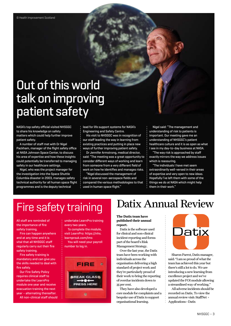## Out of this world talk on improving patient safety

NASA's top safety official visited NHSGGC to share his knowledge on safety matters which could help further improve patient safety.

A number of staff met with Dr Nigel Packham, manager of the flight safety office at NASA Johnson Space Center, to discuss his area of expertise and how these insights could potentially be transferred to managing safety in our healthcare settings.

Nigel, who was the project manager for the investigation into the Space Shuttle Columbia disaster in 2003, manages safety technical authority for all human space flight programmes and is the deputy technical

lead for life support systems for NASA's Engineering and Safety Centre.

His visit to NHSGGC was in recognition of our staff leading the way in learning from existing practices and putting in place new ways of further improving patient safety.

Dr Jennifer Armstrong, medical director, said: "The meeting was a great opportunity to consider different ways of working and learn from someone from a very different field of work on how he identifies and manages risks.

"Nigel discussed the management of risk in several non-aerospace fields and compared the various methodologies to that used in human space flight."

Nigel said: "The management and understanding of risk to patients is important. Our meeting gave me an understanding of NHSGGC's patient healthcare culture and it is as open as what I see in my day-to-day business at NASA.

"The way risk is approached by staff exactly mirrors the way we address issues which is reassuring.

"The individuals I have met seem extraordinarily well-versed in their areas of expertise and very open to new ideas. Hopefully I've left them with some of the things we do at NASA which might help them in their work."

## Fire safety training

All staff are reminded of the importance of fire safety training.

Fire can happen anywhere and at any time and it is vital that all NHSGGC staff regularly carry out their fire safety training.

Fire safety training is mandatory and can give you the skills needed to deal with fire safely.

Our Fire Safety Policy requires clinical staff to undertake the LearnPro module one year and receive evacuation training the next year – alternating thereafter. All non-clinical staff should undertake LearnPro training every two years.

To complete the module, visit LearnPro: https://nhs. learnprouk.com/lms

You will need your payroll number to log in.



### Datix Annual Review

**The Datix team have published their annual report.**

Datix is the software used for clinical and non-clinical incident reporting and forms part of the board's Risk Management Strategy.

Over the last year, the Datix team have been working with individuals across the organisation delivering a high standard of project work and they're particularly proud of their work to bring the reporting of overdue incidents down to 35 per cent.

They have also developed a core module for complaints and a bespoke use of Datix to support organisational learning.



Sharon Parrot, Datix manager, said: "I am so proud of what the team has achieved this year but there's still a lot to do. We are introducing a new learning from excellence project and we've updated the FOI module allowing a streamlined way of working."

All adverse incidents should be recorded on Datix. To view the annual review visit: StaffNet > Applications > Datix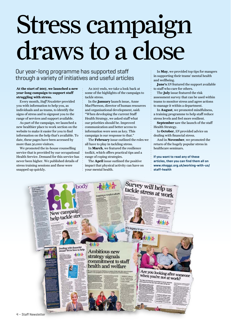# Stress campaign draws to a close

Our year-long programme has supported staff through a variety of initiatives and useful articles

#### **At the start of 2017, we launched a new year-long campaign to support staff struggling with stress.**

Every month, *Staff Newsletter* provided you with information to help you, as individuals and as teams, to identify the signs of stress and to signpost you to the range of services and support available.

As part of the campaign, we launched a new healthier place to work section on the website to make it easier for you to find information on the help that's available. To date, these pages have been accessed by more than 30,000 visitors.

We promoted the in-house counselling service that is provided by our occupational Health Service. Demand for this service has never been higher. We published details of stress training sessions and these were snapped up quickly.

As 2017 ends, we take a look back at some of the highlights of the campaign to tackle stress.

In the **January** launch issue, Anne MacPherson, director of human resources and organisational development, said: "When developing the current Staff Health Strategy, we asked staff what our priorities should be. Improved communication and better access to information were seen as key. This campaign is our response to that."

The **February** issue outlined the roles we all have to play in tackling stress.

In **March**, we featured the resilience toolkit, which offers practical tips and a range of coping strategies.

The **April** issue outlined the positive impact that physical activity can have on your mental health.

In **May**, we provided top tips for mangers in supporting their teams' mental health and wellbeing.

**June's** *SN* featured the support available to staff who care for others.

The **July** issue featured the risk assessment survey that can be used within teams to monitor stress and agree actions to manage it within a department.

In **August**, we promoted mindfulness, a training programme to help staff reduce stress levels and feel more resilient.

**September** saw the launch of the staff Health Strategy.

In **October**, *SN* provided advice on dealing with financial stress.

And in **November**, we promoted the return of the hugely popular stress in healthcare seminars.

**If you want to read any of these articles, then you can find them all on www.nhsggc.org.uk/working-with-us/ staff-health** 

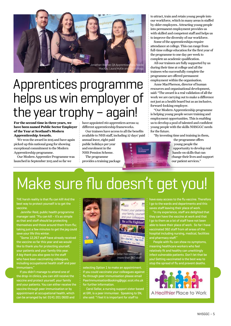

## Apprentices programme helps us win employer of the year trophy – again!

**For the second time in three years, we have been named Public Sector Employer of the Year at Scotland's Modern Apprenticeship Awards.**

We won the award in 2015 and have again picked up this national gong for showing exceptional commitment to the Modern Apprenticeship programme.

Our Modern Apprentice Programme was launched in September 2013 and so far we

have appointed 160 apprentices across 14 different apprenticeship frameworks.

Our trainees have access to all the benefits available to NHS staff, including 27 days' paid

annual leave, eight paid public holidays per year and enrolment in the NHS Pension Scheme. The programme

provides a training package



Some of the apprenticeships require attendance at college. This can range from full-time college education for the first year of the programme to one day per week to complete an academic qualification.

All our trainees are fully supported by us during their time at college and all the trainees who successfully complete the programme are offered permanent employment within the organisation.

Anne MacPherson, director of human resources and organisational development, said: "The award is a real validation of all the work we are carrying out to make a difference not just as a health board but as an inclusive, forward-looking employer.

"Our Modern Apprenticeship programme is helping young people secure training and employment opportunities. This is enabling us to develop a pool of talented and confident young people with the skills NHSGGC needs for the future.

"By investing time and training in them,



the programme offers young people the opportunity to develop real hands-on skills that can change their lives and support our patient services."

# Make sure flu doesn't get you!

THE harsh reality is that flu can kill! And the best way to protect yourself is to get the vaccine.

 Jennifer Reid, public health programme manager said: "Flu can kill – it's as simple as that and staff should be protecting themselves and those around them from flu; taking just a few minutes to get the jag could save your life this winter.

"Some 12,267 staff have already received the vaccine so far this year and we would like to thank you for protecting yourself, your patients and your family this year. A big thank you also goes to the staff who have been vaccinating colleagues, including occupational health staff and peer

If you didn't manage to attend one of the drop-in clinics, you can still receive the vaccine and protect yourself, your family and your patients. You can either receive the vaccine through peer immunisation or by appointment at occupational health, which can be arranged by tel: 0141 201 0600 and



selecting Option 1 to make an appointment. If you could vaccinate your colleagues against flu through peer immunisation please email PeerImmunisationBooking@ggc.scot.nhs.uk for further information.

Carol Sellar, a nursing support sister based at GRI, is a peer immuniser. Speaking to SN, she said: "I feel it is important for staff to

have easy access to the flu vaccine. Therefore I go to the wards and departments and this saves staff leaving their place of work.

"In my experience, staff are delighted that they can have the vaccine at work and that I go to them as a lot of staff have not been able to leave their place of work. So far I have vaccinated 362 staff from all areas of the hospital including nursing, medical, facilities and pharmacy staff."

 People with flu can show no symptoms, meaning healthcare workers who feel relatively fit and healthy can unwittingly infect vulnerable patients. Don't let that be you! Getting vaccinated is the best way to stop the spread of flu and prevent deaths.

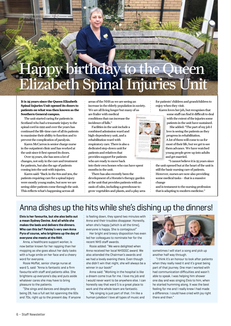

**It is 25 years since the Queen Elizabeth Spinal Injuries Unit opened its doors to patients on what was then known as the Southern General campus.**

Karen has worked in the unit t opened

The unit started caring for patients in Scotland who had a traumatic injury to the spinal cord in 1992 and over the years has continued the life-time care of all its patients to maximise their ability to function and to prevent the complication of paralysis.

Karen McCarron is senior charge nurse in the outpatient clinic and has worked at the unit since it first opened its doors.

Over 25 years, she has seen a lot of changes, not only in the care and treatment for patients, but also the age of patients coming into the unit with injuries.

Karen said: "Back in the 80s and 90s, the patients requiring care for a spinal injury were mostly young males, but now we are seeing older patients come through the unit. This reflects what's happening across all

areas of the NHS as we are seeing an increase in the elderly population in society. We are all living longer but many of us are frailer with medical conditions that can increase the

incidence of falls."

Facilities in the unit include a combined admission ward and high-dependency unit, and a rehabilitation ward with respiratory care. There is also a dedicated step-down unit for patients and relatives that provides support for patients who are ready to move back into their own homes who can have spent months in the unit.

There has also recently been the development of a Horatio's therapy garden at the unit that provides patients with an oasis of calm, including a greenhouse to grow vegetables and plants, and a play area for patients' children and grandchildren to enjoy when they visit.

Karen loves her job, but recognises that some staff can find it difficult to deal

with the extent of the injuries some patients in the unit have sustained.

She added: "The part of my job I love is seeing the patients as they progress in rehabilitation. A lot of them will come to us for most of their life, but we get to see them advance. We have watched young people grow up into adults and get married.

"I cannot believe it is 25 years since the unit opened but at the heart of the unit is still the basic nursing care of patients. However, nurses are now also providing some medical tasks – that is a massive change

and is testament to the nursing profession that is adapting to modern medicine."

### Anna dishes up the hits while she's dishing up the dinners!

**Elvis is her favourite, but she also belts out a mean Sydney Devine. And all while she makes the beds and delivers the dinners. Who can this be? Paisley's very own Anna Pyra of course, who brightens up the day of everyone she meets at the RAH.**

Anna, a healthcare support worker, is now better known for her rapping than her mopping as she goes about her daily tasks with a huge smile on her face and a cheery word for everyone.

Rosie Moffat, senior charge nurse at ward 5, said: "Anna is fantastic and a firm favourite with staff and patients alike. She brightens up everyone's day and puts aside whatever cares she may have to bring pleasure to the patients.

"She sings and dances and despite only being 28, has a full set list spanning the 60s and 70s, right up to the present day. If anyone is feeling down, they spend two minutes with Anna and their troubles disappear. Honestly, when she's happy (which is all the time), everyone is happy. She is contagious!"

Her bright and breezy disposition has even led her colleagues to nominate her for the recent NHS staff awards.

Rosie added: "We were delighted when Anna received her local NHSGGC award. We also attended the Chairman's awards and we had a lovely evening there. Even though she didn't win that night, she will always be a winner in our book!"

Anna said: "Working in the hospital is like a dream come true for me. I love my job and I would never want to be anywhere else. I can honestly say that ward 5 is a great place to work and the whole team are fantastic.

"My singing is just part of that. I'm like a human jukebox! I love all types of music and



sometimes I will start a song and pick up another half way through.

"I think it's an honour to look after patients when they really need it and it's great being part of that journey. One man I worked with had communication difficulties and wasn't able to speak. I was helping him shower one day and was singing Elvis to him, when he started humming along. It was the best feeling for me and I really knew I had made a difference. I could have cried with joy right there and then."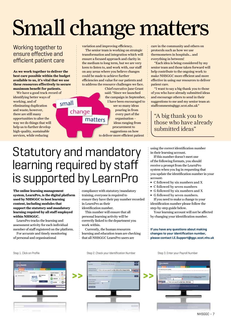# Small change matters

### Working together to ensure effective and efficient patient care

**As we work together to deliver the best care possible within the budget available to us, it's vital that we use these resources effectively to secure maximum benefit for patients.** 

We have a good track record of identifying better ways of working, and of eliminating duplication and waste; however, there are still many opportunities to alter the way we do things that will help us to further develop high-quality, sustainable services, while reducing

variation and improving efficiency.

The senior team is working on strategic transformation and integration which will ensure a focused approach and clarity in the medium to long term, but we are very keen to listen to, and work with, our staff on any areas where you believe changes could be made to achieve further efficiencies and value for our patients and to address the resource challenges we face.

Chief executive Jane Grant said: "Since we launched the campaign in September, I have been encouraged to see so many ideas pouring in from every part of the matters organisation – ideas ranging from procurement to suggestions on how to deliver more efficient patient

care in the community and others on protocols such as how we use thermometers in hospitals… and everything in between!

"Each idea is being considered by my senior team and those taken forward will help contribute to the ongoing work to make NHSGGC more efficient and more effective in using our resources to deliver patient care.

"I want to say a big thank you to those of you who have already submitted ideas and encourage others to send in their suggestions to me and my senior team at: staffcomments@ggc.scot.nhs.uk"

### "A big thank you to those who have already submitted ideas"

Statutory and mandatory learning required by staff is supported by LearnPro

change

small

**The online learning management system, LearnPro, is the digital platform used by NHSGGC to host learning content, including modules that support the statutory and mandatory learning required by all staff employed within NHSGGC.** 

LearnPro tracks the learning and assessment activity for each individual member of staff registered on the platform.

For accurate and timely monitoring of personal and organisational

compliance with statutory/mandatory training, everyone is required to ensure they have their pay number recorded in LearnPro as their identification number.

This number will ensure that all personal learning activity will be correctly linked to the department you work within.

Currently, the human resources learning and education team are checking that all NHSGGC LearnPro users are

Step 1. Click on Profile Step 2. Check your Identification Number Step 3. Enter your Payroll Number



using the correct identification number in their learning account.

If this number doesn't meet one of the following formats, you should receive a prompt from the LearnPro system when you log in requesting that you update the identification number in your account:

- **∫** C followed by six numbers and X
- **∫** C followed by seven numbers
- **∫** G followed by six numbers and X
- **∫** G followed by seven numbers.

If you need to make a change to your identification number please follow the step-by-step guide below.

Your learning account will not be affected by changing your identification number.

**If you have any questions about making changes to your identification number, please contact LE.Support@ggc.scot.nhs.uk**